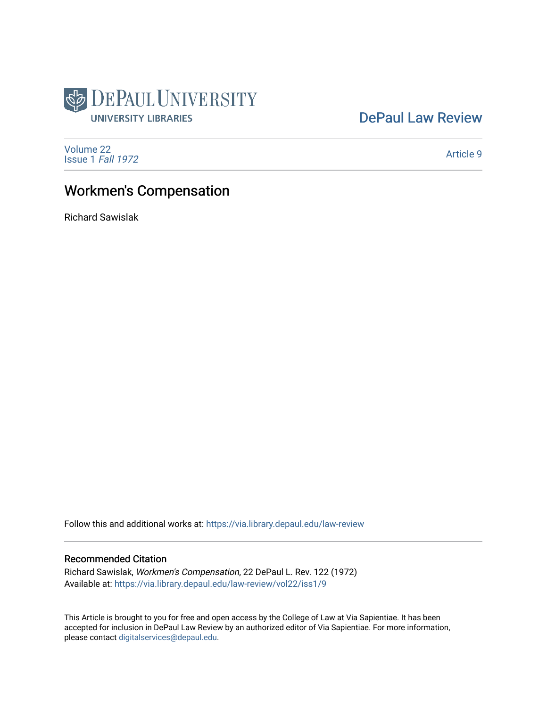

## [DePaul Law Review](https://via.library.depaul.edu/law-review)

[Volume 22](https://via.library.depaul.edu/law-review/vol22) [Issue 1](https://via.library.depaul.edu/law-review/vol22/iss1) Fall 1972

[Article 9](https://via.library.depaul.edu/law-review/vol22/iss1/9) 

# Workmen's Compensation

Richard Sawislak

Follow this and additional works at: [https://via.library.depaul.edu/law-review](https://via.library.depaul.edu/law-review?utm_source=via.library.depaul.edu%2Flaw-review%2Fvol22%2Fiss1%2F9&utm_medium=PDF&utm_campaign=PDFCoverPages) 

### Recommended Citation

Richard Sawislak, Workmen's Compensation, 22 DePaul L. Rev. 122 (1972) Available at: [https://via.library.depaul.edu/law-review/vol22/iss1/9](https://via.library.depaul.edu/law-review/vol22/iss1/9?utm_source=via.library.depaul.edu%2Flaw-review%2Fvol22%2Fiss1%2F9&utm_medium=PDF&utm_campaign=PDFCoverPages) 

This Article is brought to you for free and open access by the College of Law at Via Sapientiae. It has been accepted for inclusion in DePaul Law Review by an authorized editor of Via Sapientiae. For more information, please contact [digitalservices@depaul.edu.](mailto:digitalservices@depaul.edu)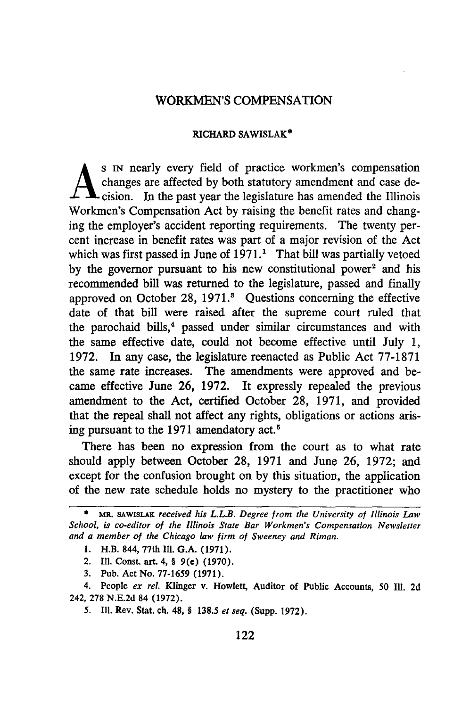#### WORKMEN'S COMPENSATION

#### RICHARD **SAWISLAK\***

**A IN** nearly every field of practice workmen's compensation changes are affected by both statutory amendment and case decision. In the past year the legislature has amended the Illinois Workmen's Compensation Act by raising the benefit rates and changing the employer's accident reporting requirements. The twenty percent increase in benefit rates was part of a major revision of the Act which was first passed in June of  $1971<sup>1</sup>$ . That bill was partially vetoed by the governor pursuant to his new constitutional power<sup>2</sup> and his recommended bill was returned to the legislature, passed and finally approved on October 28, 1971.<sup>8</sup> Questions concerning the effective date of that bill were raised after the supreme court ruled that the parochaid bills,<sup>4</sup> passed under similar circumstances and with the same effective date, could not become effective until July 1, 1972. In any case, the legislature reenacted as Public Act 77-1871 the same rate increases. The amendments were approved and became effective June 26, 1972. It expressly repealed the previous amendment to the Act, certified October 28, 1971, and provided that the repeal shall not affect any rights, obligations or actions arising pursuant to the 1971 amendatory act.<sup>5</sup>

There has been no expression from the court as to what rate should apply between October 28, 1971 and June 26, 1972; and except for the confusion brought on by this situation, the application of the new rate schedule holds no mystery to the practitioner who

- **1.** H.B. 844, 77th **111. G.A. (1971).**
- 2. **Ill.** Const. art. 4, **§ 9(e) (1970).**
- **3.** Pub. Act No. **77-1659 (1971).**

*5.* Ill. Rev. **Stat.** ch. **48, §** *138.5 et seq.* **(Supp. 1972).**

*<sup>\*</sup>* MR. **SAWISLAK** *received his L.L.B. Degree from the University of Illinois Law School, is co-editor of the Illinois State Bar Workmen's Compensation Newsletter and a member of the Chicago law firm of Sweeney and Riman.*

<sup>4.</sup> People *ex rel.* Klinger **v.** Howlett, Auditor of Public Accounts, **50 Il1. 2d** 242, **278 N.E.2d** 84 **(1972).**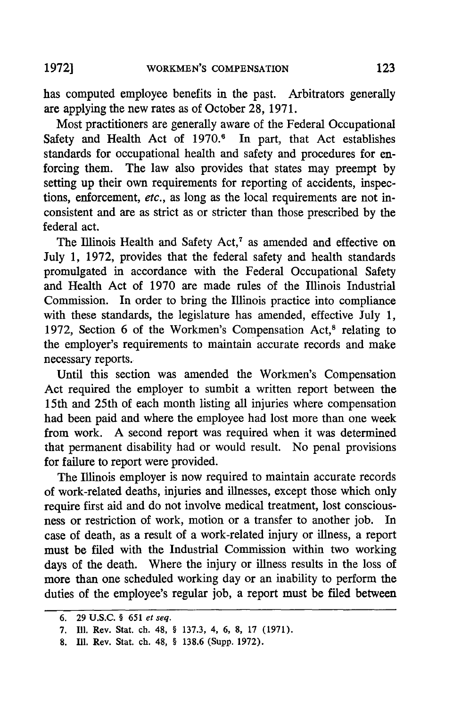has computed employee benefits in the past. Arbitrators generally are applying the new rates as of October 28, 1971.

Most practitioners are generally aware of the Federal Occupational Safety and Health Act of  $1970$ .<sup>6</sup> In part, that Act establishes standards for occupational health and safety and procedures for enforcing them. The law also provides that states may preempt by setting up their own requirements for reporting of accidents, inspections, enforcement, etc., as long as the local requirements are not inconsistent and are as strict as or stricter than those prescribed by the federal act.

The Illinois Health and Safety Act, $^7$  as amended and effective on July 1, 1972, provides that the federal safety and health standards promulgated in accordance with the Federal Occupational Safety and Health Act of 1970 are made rules of the Illinois Industrial Commission. In order to bring the Illinois practice into compliance with these standards, the legislature has amended, effective July 1, 1972, Section 6 of the Workmen's Compensation Act, $8$  relating to the employer's requirements to maintain accurate records and make necessary reports.

Until this section was amended the Workmen's Compensation Act required the employer to sumbit a written report between the 15th and 25th of each month listing all injuries where compensation had been paid and where the employee had lost more than one week from work. A second report was required when it was determined that permanent disability had or would result. No penal provisions for failure to report were provided.

The Illinois employer is now required to maintain accurate records of work-related deaths, injuries and illnesses, except those which only require first aid and do not involve medical treatment, lost consciousness or restriction of work, motion or a transfer to another job. In case of death, as a result of a work-related injury or illness, a report must be filed with the Industrial Commission within two working days of the death. Where the injury or illness results in the loss of more than one scheduled working day or an inability to perform the duties of the employee's regular job, a report must be filed between

**<sup>6. 29</sup> U.S.C. § 651** *et seq.*

**<sup>7.</sup> Ill.** Rev. Stat. ch. 48, **§ 137.3,** 4, **6, 8, 17 (1971).**

**<sup>8.</sup> Il.** Rev. Stat. **ch.** 48, **§ 138.6** (Supp. **1972).**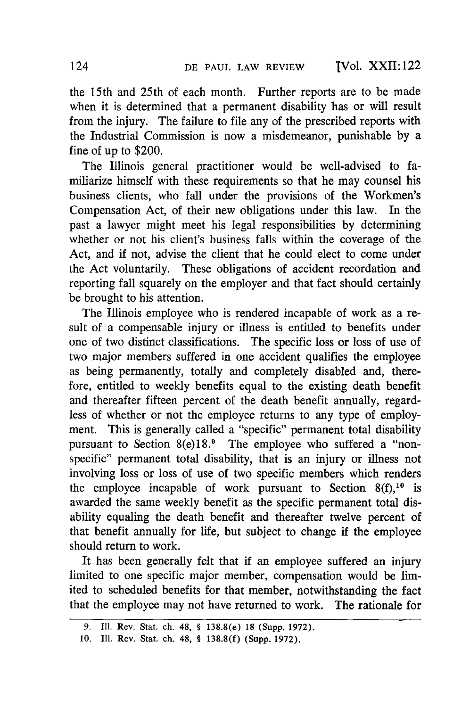TVol. XXII: 122

the 15th and 25th of each month. Further reports are to be made when it is determined that a permanent disability has or will result from the injury. The failure to file any of the prescribed reports with the Industrial Commission is now a misdemeanor, punishable by a fine of up to \$200.

The Illinois general practitioner would be well-advised to familiarize himself with these requirements so that he may counsel his business clients, who fall under the provisions of the Workmen's Compensation Act, of their new obligations under this law. In the past a lawyer might meet his legal responsibilities by determining whether or not his client's business falls within the coverage of the Act, and if not, advise the client that he could elect to come under the Act voluntarily. These obligations of accident recordation and reporting fall squarely on the employer and that fact should certainly be brought to his attention.

The Illinois employee who is rendered incapable of work as a result of a compensable injury or illness is entitled to benefits under one of two distinct classifications. The specific loss or loss of use of two major members suffered in one accident qualifies the employee as being permanently, totally and completely disabled and, therefore, entitled to weekly benefits equal to the existing death benefit and thereafter fifteen percent of the death benefit annually, regardless of whether or not the employee returns to any type of employment. This is generally called a "specific" permanent total disability pursuant to Section 8(e)18.<sup>9</sup> The employee who suffered a "nonspecific" permanent total disability, that is an injury or illness not involving loss or loss of use of two specific members which renders the employee incapable of work pursuant to Section  $8(f)$ , <sup>10</sup> is awarded the same weekly benefit as the specific permanent total disability equaling the death benefit and thereafter twelve percent of that benefit annually for life, but subject to change if the employee should return to work.

It has been generally felt that if an employee suffered an injury limited to one specific major member, compensation would be limited to scheduled benefits for that member, notwithstanding the fact that the employee may not have returned to work. The rationale for

**<sup>9.</sup> Il.** Rev. Stat. ch. 48, **§** 138.8(e) **18** (Supp. **1972).**

**<sup>10.</sup> II1.** Rev. Stat. ch. 48, **§ 138.8(f)** (Supp. **1972).**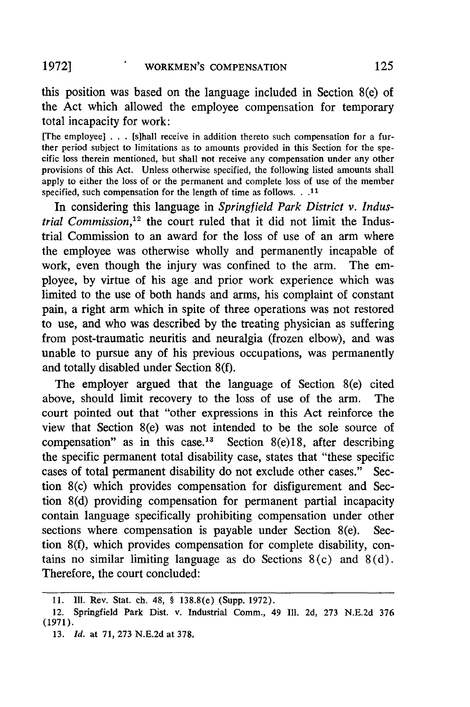this position was based on the language included in Section 8(e) of the Act which allowed the employee compensation for temporary total incapacity for work:

[The employee] **. .** . [sihall receive in addition thereto such compensation for a further period subject to limitations as to amounts provided in this Section for the specific loss therein mentioned, but shall not receive any compensation under any other provisions of this Act. Unless otherwise specified, the following listed amounts shall apply to either the loss of or the permanent and complete loss of use of the member specified, such compensation for the length of time as follows. **.. 1**

In considering this language in *Springfield Park District v. Industrial Commission*,<sup>12</sup> the court ruled that it did not limit the Industrial Commission to an award for the loss of use of an arm where the employee was otherwise wholly and permanently incapable of work, even though the injury was confined to the arm. The employee, **by** virtue of his age and prior work experience which was limited to the use of both hands and arms, his complaint of constant pain, a right arm which in spite of three operations was not restored to use, and who was described **by** the treating physician as suffering from post-traumatic neuritis and neuralgia (frozen elbow), and was unable to pursue any of his previous occupations, was permanently and totally disabled under Section 8(f).

The employer argued that the language of Section 8(e) cited above, should limit recovery to the loss of use of the arm. The court pointed out that "other expressions in this Act reinforce the view that Section 8(e) was not intended to be the sole source of compensation" as in this case.<sup>13</sup> Section 8(e)18, after describing the specific permanent total disability case, states that "these specific cases of total permanent disability do not exclude other cases." Section 8(c) which provides compensation for disfigurement and Section 8(d) providing compensation for permanent partial incapacity contain language specifically prohibiting compensation under other sections where compensation is payable under Section 8(e). Section 8(f), which provides compensation for complete disability, contains no similar limiting language as do Sections  $8(c)$  and  $8(d)$ . Therefore, the court concluded:

**13.** *Id.* at **71, 273** N.E.2d at **378.**

125

**<sup>11.</sup> Ill.** Rev. Stat. **ch. 48, §** 138.8(e) (Supp. **1972).**

<sup>12.</sup> Springfield Park Dist. v. Industrial Comm., 49 **Ill.** 2d, 273 N.E.2d **376** (1971).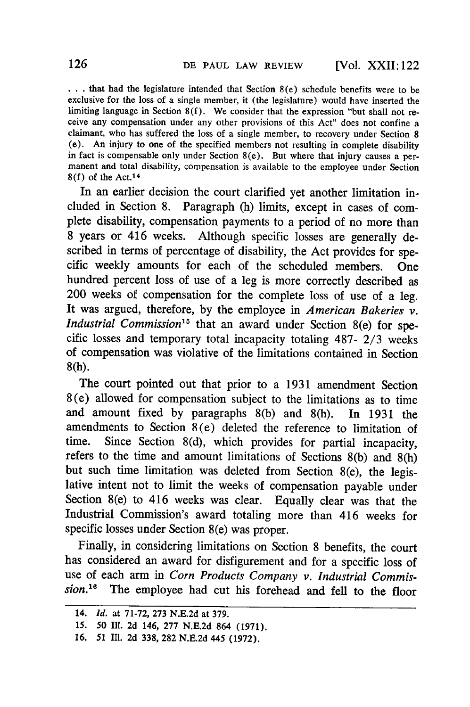**. . .** that had the legislature intended that Section 8(e) schedule benefits were to be exclusive for the loss of a single member, it (the legislature) would have inserted the limiting language in Section  $8(f)$ . We consider that the expression "but shall not receive any compensation under any other provisions of this Act" does not confine a claimant, who has suffered the loss of a single member, to recovery under Section 8 (e). An injury to one of the specified members not resulting in complete disability in fact is compensable only under Section 8(e). But where that injury causes a permanent and total disability, compensation is available to the employee under Section 8(f) of the Act.14

In an earlier decision the court clarified yet another limitation included in Section 8. Paragraph (h) limits, except in cases of complete disability, compensation payments to a period of no more than 8 years or 416 weeks. Although specific losses are generally described in terms of percentage of disability, the Act provides for specific weekly amounts for each of the scheduled members. One hundred percent loss of use of a leg is more correctly described as 200 weeks of compensation for the complete loss of use of a leg. It was argued, therefore, by the employee in *American Bakeries v. Industrial Commission*<sup>15</sup> that an award under Section 8(e) for specific losses and temporary total incapacity totaling 487- **2/3** weeks of compensation was violative of the limitations contained in Section **8(h).**

The court pointed out that prior to a 1931 amendment Section 8(e) allowed for compensation subject to the limitations as to time and amount fixed by paragraphs 8(b) and 8(h). In 1931 the amendments to Section 8(e) deleted the reference to limitation of time. Since Section 8(d), which provides for partial incapacity, refers to the time and amount limitations of Sections 8(b) and 8(h) but such time limitation was deleted from Section 8(e), the legislative intent not to limit the weeks of compensation payable under Section 8(e) to 416 weeks was clear. Equally clear was that the Industrial Commission's award totaling more than 416 weeks for specific losses under Section 8(e) was proper.

Finally, in considering limitations on Section 8 benefits, the court has considered an award for disfigurement and for a specific loss of use of each arm in *Corn Products Company v. Industrial Commission.*<sup>16</sup> The employee had cut his forehead and fell to the floor

<sup>14.</sup> *Id.* at 71-72, 273 N.E.2d at 379.

*<sup>15.</sup>* **50** Ill. 2d 146, 277 N.E.2d 864 (1971).

<sup>16. 51</sup> Ill. 2d 338, 282 N.E.2d 445 (1972).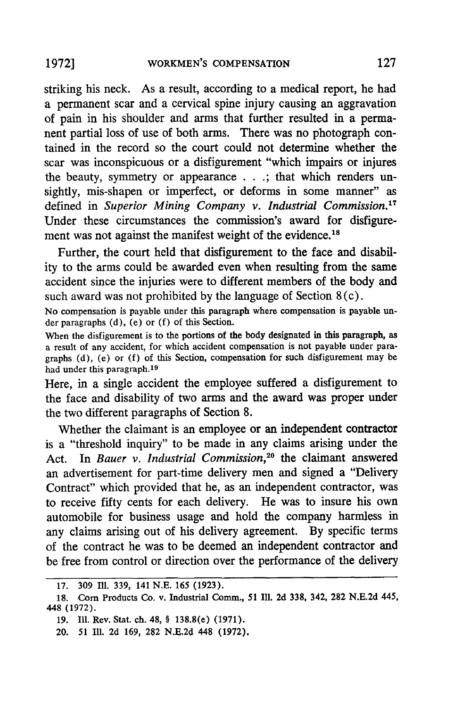striking his neck. As a result, according to a medical report, he had a permanent scar and a cervical spine injury causing an aggravation of pain in his shoulder and arms that further resulted in a permanent partial loss of use of both arms. There was no photograph contained in the record so the court could not determine whether the scar was inconspicuous or a disfigurement "which impairs or injures the beauty, symmetry or appearance . . **.;** that which renders unsightly, mis-shapen or imperfect, or deforms in some manner" as defined in *Superior Mining Company v. Industrial Commission.<sup>17</sup>* Under these circumstances the commission's award for disfigurement was not against the manifest weight of the evidence.<sup>18</sup>

Further, the court held that disfigurement to the face and disability to the arms could be awarded even when resulting from the same accident since the injuries were to different members of the body and such award was not prohibited **by** the language of Section 8 (c).

No compensation is payable under this paragraph where compensation is payable under paragraphs (d), (e) or (f) of this Section.

When the disfigurement is to the portions of the body designated in this paragraph, as a result of any accident, for which accident compensation is not payable under paragraphs (d), (e) or (f) of this Section, compensation for such disfigurement may be had under this paragraph.<sup>19</sup>

Here, in a single accident the employee suffered a disfigurement to the face and disability of two arms and the award was proper under the two different paragraphs of Section **8.**

Whether the claimant is an employee or an independent contractor is a "threshold inquiry" to be made in any claims arising under the Act. In *Bauer v. Industrial Commission,2°* the claimant answered an advertisement for part-time delivery men and signed a "Delivery Contract" which provided that he, as an independent contractor, was to receive fifty cents for each delivery. He was to insure his own automobile for business usage and hold the company harmless in any claims arising out of his delivery agreement. **By** specific terms of the contract he was to be deemed an independent contractor and be free from control or direction over the performance of the delivery

**<sup>17. 309</sup> Ill.** 339, 141 **N.E. 165** (1923).

**<sup>18.</sup>** Corn Products Co. v. Industrial Comm., 51 **111.** 2d **338,** 342, 282 N.E.2d 445, 448 (1972).

**<sup>19.</sup>** Ill. Rev. Stat. ch. 48, § 138.8(e) (1971).

<sup>20.</sup> **51** 111. 2d 169, 282 N.E.2d 448 (1972).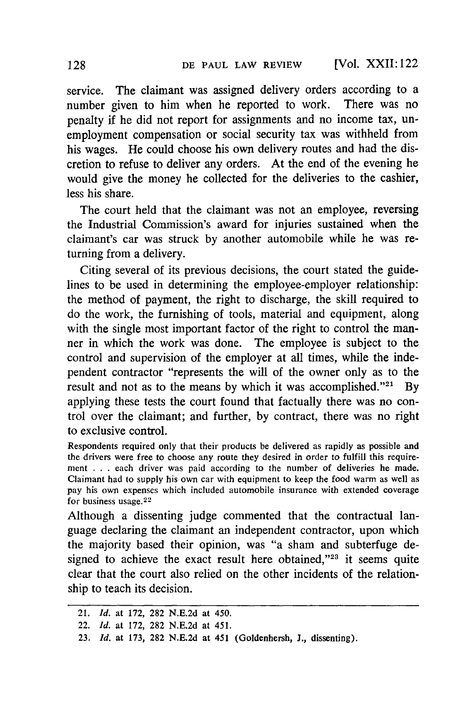service. The claimant was assigned delivery orders according to a number given to him when he reported to work. There was no penalty if he did not report for assignments and no income tax, unemployment compensation or social security tax was withheld from his wages. He could choose his own delivery routes and had the discretion to refuse to deliver any orders. At the end of the evening he would give the money he collected for the deliveries to the cashier, less his share.

The court held that the claimant was not an employee, reversing the Industrial Commission's award for injuries sustained when the claimant's car was struck by another automobile while he was returning from a delivery.

Citing several of its previous decisions, the court stated the guidelines to be used in determining the employee-employer relationship: the method of payment, the right to discharge, the skill required to do the work, the furnishing of tools, material and equipment, along with the single most important factor of the right to control the manner in which the work was done. The employee is subject to the control and supervision of the employer at all times, while the independent contractor "represents the will of the owner only as to the result and not as to the means by which it was accomplished."<sup>21</sup> By applying these tests the court found that factually there was no control over the claimant; and further, by contract, there was no right to exclusive control.

Respondents required only that their products be delivered as rapidly as possible and the drivers were free to choose any route they desired in order to fulfill this requirement . . . each driver was paid according to the number of deliveries he made. Claimant had to supply his own car with equipment to keep the food warm as well as pay his own expenses which included automobile insurance with extended coverage for business usage.<sup>22</sup>

Although a dissenting judge commented that the contractual language declaring the claimant an independent contractor, upon which the majority based their opinion, was "a sham and subterfuge designed to achieve the exact result here obtained,"<sup>23</sup> it seems quite clear that the court also relied on the other incidents of the relationship to teach its decision.

<sup>21.</sup> *Id.* at 172, **282** N.E.2d at 450.

<sup>22.</sup> *Id.* at 172, 282 N.E.2d at 451.

<sup>23.</sup> *Id.* at 173, 282 N.E.2d at 451 (Goldenhersh, J., dissenting).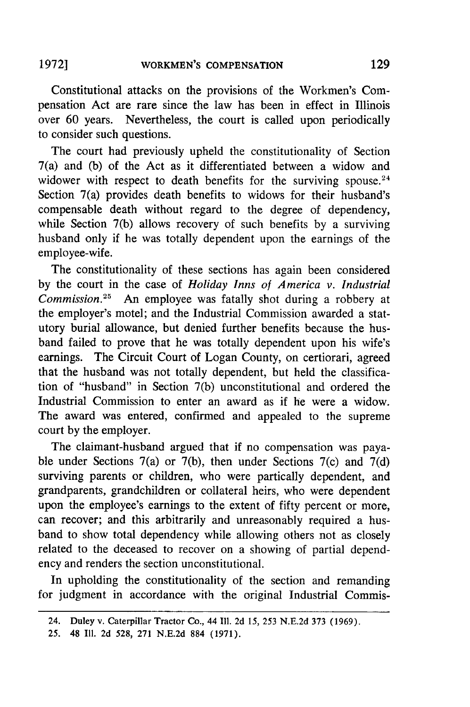Constitutional attacks on the provisions of the Workmen's Compensation Act are rare since the law has been in effect in Illinois over 60 years. Nevertheless, the court is called upon periodically to consider such questions.

The court had previously upheld the constitutionality of Section 7(a) and (b) of the Act as it differentiated between a widow and widower with respect to death benefits for the surviving spouse. $24$ Section 7(a) provides death benefits to widows for their husband's compensable death without regard to the degree of dependency, while Section 7(b) allows recovery of such benefits by a surviving husband only if he was totally dependent upon the earnings of the employee-wife.

The constitutionality of these sections has again been considered by the court in the case of *Holiday Inns of America v. Industrial Commission.25* An employee was fatally shot during a robbery at the employer's motel; and the Industrial Commission awarded a statutory burial allowance, but denied further benefits because the husband failed to prove that he was totally dependent upon his wife's earnings. The Circuit Court of Logan County, on certiorari, agreed that the husband was not totally dependent, but held the classification of "husband" in Section 7(b) unconstitutional and ordered the Industrial Commission to enter an award as if he were a widow. The award was entered, confirmed and appealed to the supreme court by the employer.

The claimant-husband argued that if no compensation was payable under Sections 7(a) or 7(b), then under Sections 7(c) and 7(d) surviving parents or children, who were partically dependent, and grandparents, grandchildren or collateral heirs, who were dependent upon the employee's earnings to the extent of fifty percent or more, can recover; and this arbitrarily and unreasonably required a husband to show total dependency while allowing others not as closely related to the deceased to recover on a showing of partial dependency and renders the section unconstitutional.

In upholding the constitutionality of the section and remanding for judgment in accordance with the original Industrial Commis-

<sup>24.</sup> Duley v. Caterpillar Tractor Co., 44 **I11.** 2d 15, 253 N.E.2d 373 (1969).

<sup>25. 48</sup> Ill. 2d 528, 271 N.E.2d 884 (1971).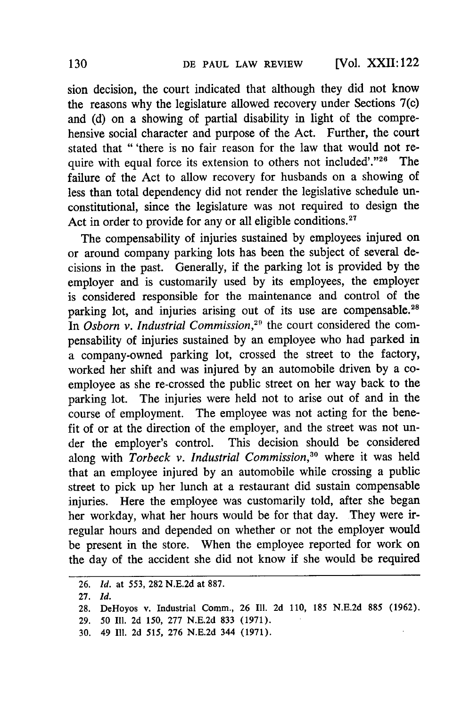[Vol. XXII: 122

sion decision, the court indicated that although they did not know the reasons why the legislature allowed recovery under Sections 7(c) and (d) on a showing of partial disability in light of the comprehensive social character and purpose of the Act. Further, the court stated that "'there is no fair reason for the law that would not require with equal force its extension to others not included'."<sup>26</sup> The failure of the Act to allow recovery for husbands on a showing of less than total dependency did not render the legislative schedule unconstitutional, since the legislature was not required to design the Act in order to provide for any or all eligible conditions.<sup>27</sup>

The compensability of injuries sustained by employees injured on or around company parking lots has been the subject of several decisions in the past. Generally, if the parking lot is provided by the employer and is customarily used by its employees, the employer is considered responsible for the maintenance and control of the parking lot, and injuries arising out of its use are compensable.<sup>28</sup> *In Osborn v. Industrial Commission,29* the court considered the compensability of injuries sustained by an employee who had parked in a company-owned parking lot, crossed the street to the factory, worked her shift and was injured by an automobile driven by a coemployee as she re-crossed the public street on her way back to the parking lot. The injuries were held not to arise out of and in the course of employment. The employee was not acting for the benefit of or at the direction of the employer, and the street was not under the employer's control. This decision should be considered along with *Torbeck v. Industrial Commission*,<sup>30</sup> where it was held that an employee injured by an automobile while crossing a public street to pick up her lunch at a restaurant did sustain compensable injuries. Here the employee was customarily told, after she began her workday, what her hours would be for that day. They were irregular hours and depended on whether or not the employer would be present in the store. When the employee reported for work on the day of the accident she did not know if she would be required

<sup>26.</sup> *Id.* at **553,** 282 N.E.2d at 887.

<sup>27.</sup> *Id.*

<sup>28.</sup> DeHoyos v. Industrial Comm., 26 Il. 2d 110, 185 N.E.2d 885 (1962).

<sup>29. 50</sup> Il. 2d 150, 277 N.E.2d 833 (1971).

<sup>30. 49</sup> Ill. 2d **515,** 276 N.E.2d 344 (1971).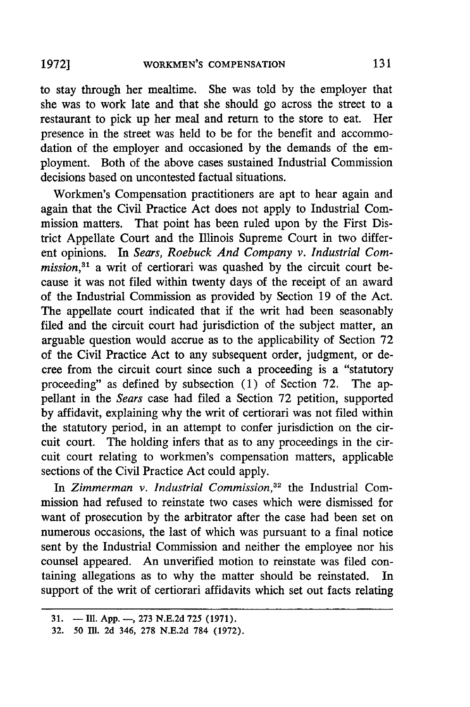to stay through her mealtime. She was told by the employer that she was to work late and that she should go across the street to a restaurant to pick up her meal and return to the store to eat. Her presence in the street was held to be for the benefit and accommodation of the employer and occasioned by the demands of the employment. Both of the above cases sustained Industrial Commission decisions based on uncontested factual situations.

Workmen's Compensation practitioners are apt to hear again and again that the Civil Practice Act does not apply to Industrial Commission matters. That point has been ruled upon by the First District Appellate Court and the Illinois Supreme Court in two different opinions. In *Sears, Roebuck And Company v. Industrial Commission*,<sup>31</sup> a writ of certiorari was quashed by the circuit court because it was not filed within twenty days of the receipt of an award of the Industrial Commission as provided by Section 19 of the Act. The appellate court indicated that if the writ had been seasonably filed and the circuit court had jurisdiction of the subject matter, an arguable question would accrue as to the applicability of Section 72 of the Civil Practice Act to any subsequent order, judgment, or decree from the circuit court since such a proceeding is a "statutory proceeding" as defined by subsection (1) of Section 72. The appellant in the *Sears* case had filed a Section 72 petition, supported by affidavit, explaining why the writ of certiorari was not filed within the statutory period, in an attempt to confer jurisdiction on the circuit court. The holding infers that as to any proceedings in the circuit court relating to workmen's compensation matters, applicable sections of the Civil Practice Act could apply.

In Zimmerman v. Industrial Commission,<sup>32</sup> the Industrial Commission had refused to reinstate two cases which were dismissed for want of prosecution by the arbitrator after the case had been set on numerous occasions, the last of which was pursuant to a final notice sent by the Industrial Commission and neither the employee nor his counsel appeared. An unverified motion to reinstate was filed containing allegations as to why the matter should be reinstated. In support of the writ of certiorari affidavits which set out facts relating

**<sup>31.</sup>** - **Il1. App. -, 273 N.E.2d** 725 **(1971).**

**<sup>32.</sup>** 50 **11. 2d** 346, **278 N.E.2d 784 (1972).**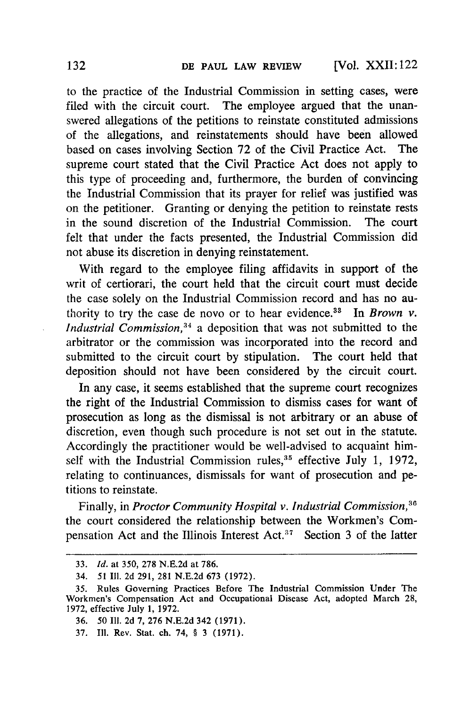to the practice of the Industrial Commission in setting cases, were filed with the circuit court. The employee argued that the unanswered allegations of the petitions to reinstate constituted admissions of the allegations, and reinstatements should have been allowed based on cases involving Section 72 of the Civil Practice Act. The supreme court stated that the Civil Practice Act does not apply to this type of proceeding and, furthermore, the burden of convincing the Industrial Commission that its prayer for relief was justified was on the petitioner. Granting or denying the petition to reinstate rests in the sound discretion of the Industrial Commission. The court felt that under the facts presented, the Industrial Commission did not abuse its discretion in denying reinstatement.

With regard to the employee filing affidavits in support of the writ of certiorari, the court held that the circuit court must decide the case solely on the Industrial Commission record and has no authority to try the case de novo or to hear evidence. 33 In *Brown v. Industrial Commission,"4* a deposition that was not submitted to the arbitrator or the commission was incorporated into the record and submitted to the circuit court by stipulation. The court held that deposition should not have been considered by the circuit court.

In any case, it seems established that the supreme court recognizes the right of the Industrial Commission to dismiss cases for want of prosecution as long as the dismissal is not arbitrary or an abuse of discretion, even though such procedure is not set out in the statute. Accordingly the practitioner would be well-advised to acquaint himself with the Industrial Commission rules,  $35$  effective July 1, 1972 relating to continuances, dismissals for want of prosecution and petitions to reinstate.

Finally, in *Proctor Community Hospital v. Industrial Commission,6* the court considered the relationship between the Workmen's Compensation Act and the Illinois Interest Act.<sup>37</sup> Section 3 of the latter

37. **I11.** Rev. Stat. ch. 74, § 3 (1971).

<sup>33.</sup> *Id.* at 350, 278 N.E.2d at 786.

<sup>34.</sup> **51 I1. 2d 291, 281 N.E.2d 673 (1972).**

<sup>35.</sup> Rules Governing Practices Before The Industrial Commission Under The Workmen's Compensation Act and Occupational Disease Act, adopted March 28, 1972, effective July 1, 1972.

**<sup>36.</sup>** 50 **I11. 2d 7, 276 N.E.2d** 342 **(1971).**